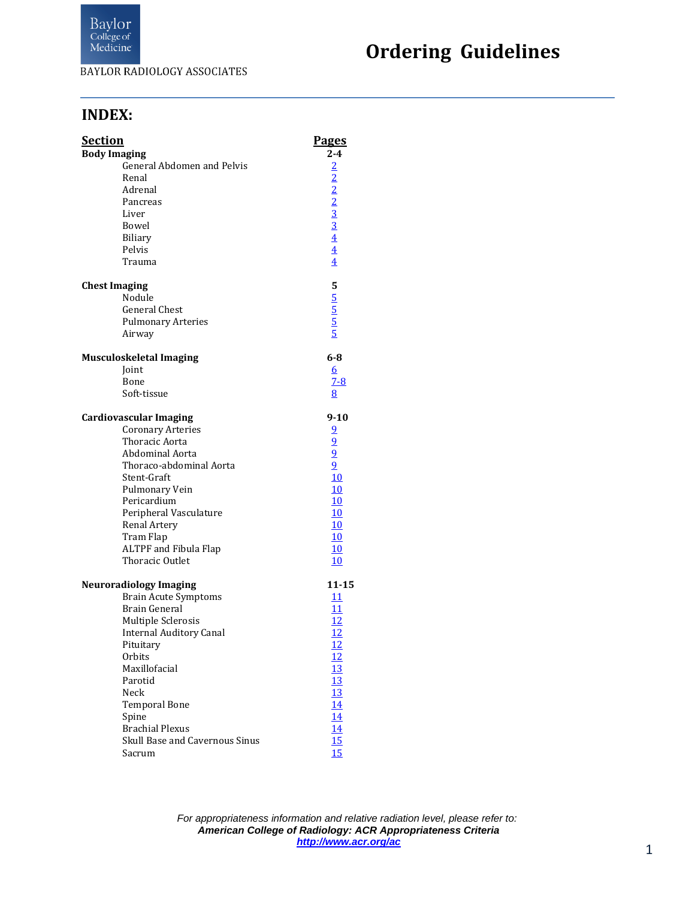

# **Ordering Guidelines**

#### **INDEX:**

| <u>Section</u>       |                                | <b>Pages</b>                                                          |
|----------------------|--------------------------------|-----------------------------------------------------------------------|
| <b>Body Imaging</b>  |                                | $2 - 4$                                                               |
|                      | General Abdomen and Pelvis     |                                                                       |
|                      | Renal                          |                                                                       |
|                      | Adrenal                        |                                                                       |
|                      | Pancreas                       |                                                                       |
|                      | Liver                          |                                                                       |
|                      | Bowel                          |                                                                       |
|                      | <b>Biliary</b>                 |                                                                       |
|                      | Pelvis                         | $\frac{2}{2}$ $\frac{2}{2}$ $\frac{3}{3}$ $\frac{4}{4}$ $\frac{4}{4}$ |
|                      | Trauma                         |                                                                       |
| <b>Chest Imaging</b> |                                |                                                                       |
|                      | Nodule                         |                                                                       |
|                      | <b>General Chest</b>           | 5<br>5<br>5<br>5<br>5<br>5                                            |
|                      | <b>Pulmonary Arteries</b>      |                                                                       |
|                      | Airway                         |                                                                       |
|                      | <b>Musculoskeletal Imaging</b> | $6 - 8$                                                               |
|                      | Joint                          | <u>6</u>                                                              |
|                      | Bone                           | $7 - 8$                                                               |
|                      | Soft-tissue                    | 8                                                                     |
|                      | <b>Cardiovascular Imaging</b>  | $9 - 10$                                                              |
|                      | <b>Coronary Arteries</b>       |                                                                       |
|                      | Thoracic Aorta                 | $\frac{9}{9}$<br>$\frac{9}{9}$<br>$\frac{9}{10}$                      |
|                      | Abdominal Aorta                |                                                                       |
|                      | Thoraco-abdominal Aorta        |                                                                       |
|                      | Stent-Graft                    |                                                                       |
|                      | Pulmonary Vein                 | 10                                                                    |
|                      | Pericardium                    | 10                                                                    |
|                      | Peripheral Vasculature         | 10                                                                    |
|                      | Renal Artery                   | 10                                                                    |
|                      | Tram Flap                      | 10                                                                    |
|                      | <b>ALTPF</b> and Fibula Flap   | 10                                                                    |
|                      | <b>Thoracic Outlet</b>         | 10                                                                    |
|                      | <b>Neuroradiology Imaging</b>  | $11 - 15$                                                             |
|                      | <b>Brain Acute Symptoms</b>    | 11                                                                    |
|                      | Brain General                  | 11                                                                    |
|                      | Multiple Sclerosis             | 12                                                                    |
|                      | <b>Internal Auditory Canal</b> | 12                                                                    |
|                      | Pituitary                      |                                                                       |
|                      | Orbits                         | $\frac{12}{12}$                                                       |
|                      | Maxillofacial                  |                                                                       |
|                      | Parotid                        | $\frac{13}{13}$ $\frac{13}{14}$ $\frac{14}{14}$                       |
|                      | Neck                           |                                                                       |
|                      | <b>Temporal Bone</b>           |                                                                       |
|                      | Spine                          |                                                                       |
|                      | <b>Brachial Plexus</b>         | 14                                                                    |
|                      | Skull Base and Cavernous Sinus | 15                                                                    |
|                      | Sacrum                         | 15                                                                    |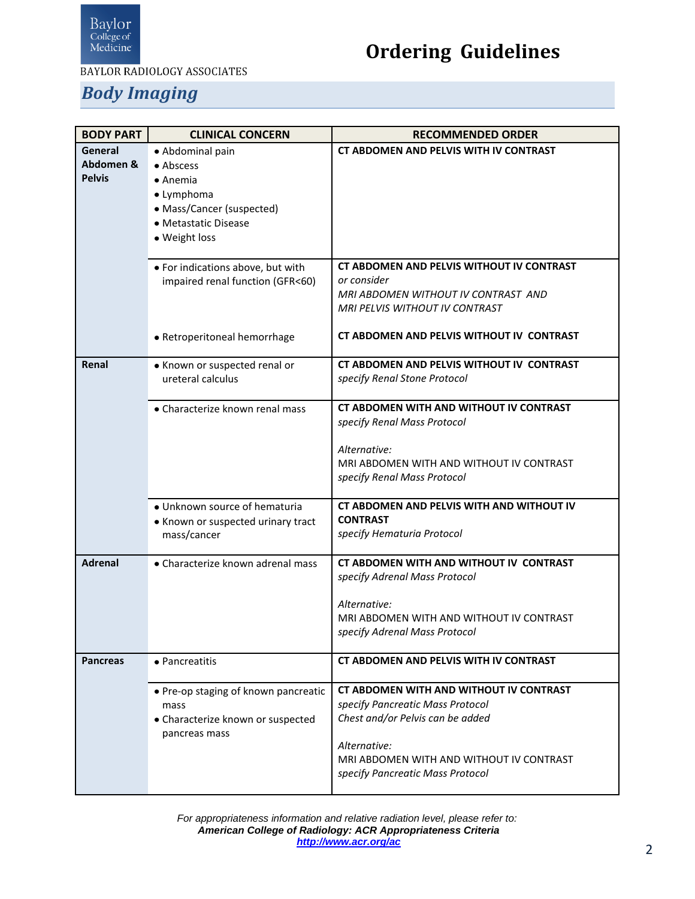

# **Ordering Guidelines**

#### *Body Imaging*

<span id="page-1-3"></span><span id="page-1-2"></span><span id="page-1-1"></span><span id="page-1-0"></span>

| <b>BODY PART</b>                      | <b>CLINICAL CONCERN</b>                                                                                                               | <b>RECOMMENDED ORDER</b>                                                                                                                                                                                        |
|---------------------------------------|---------------------------------------------------------------------------------------------------------------------------------------|-----------------------------------------------------------------------------------------------------------------------------------------------------------------------------------------------------------------|
| General<br>Abdomen &<br><b>Pelvis</b> | • Abdominal pain<br>• Abscess<br>$\bullet$ Anemia<br>• Lymphoma<br>• Mass/Cancer (suspected)<br>• Metastatic Disease<br>· Weight loss | <b>CT ABDOMEN AND PELVIS WITH IV CONTRAST</b>                                                                                                                                                                   |
|                                       | • For indications above, but with<br>impaired renal function (GFR<60)                                                                 | CT ABDOMEN AND PELVIS WITHOUT IV CONTRAST<br>or consider<br>MRI ABDOMEN WITHOUT IV CONTRAST AND<br>MRI PELVIS WITHOUT IV CONTRAST                                                                               |
|                                       | · Retroperitoneal hemorrhage                                                                                                          | CT ABDOMEN AND PELVIS WITHOUT IV CONTRAST                                                                                                                                                                       |
| Renal                                 | • Known or suspected renal or<br>ureteral calculus                                                                                    | CT ABDOMEN AND PELVIS WITHOUT IV CONTRAST<br>specify Renal Stone Protocol                                                                                                                                       |
|                                       | • Characterize known renal mass                                                                                                       | CT ABDOMEN WITH AND WITHOUT IV CONTRAST<br>specify Renal Mass Protocol<br>Alternative:<br>MRI ABDOMEN WITH AND WITHOUT IV CONTRAST<br>specify Renal Mass Protocol                                               |
|                                       | · Unknown source of hematuria<br>• Known or suspected urinary tract<br>mass/cancer                                                    | CT ABDOMEN AND PELVIS WITH AND WITHOUT IV<br><b>CONTRAST</b><br>specify Hematuria Protocol                                                                                                                      |
| <b>Adrenal</b>                        | • Characterize known adrenal mass                                                                                                     | CT ABDOMEN WITH AND WITHOUT IV CONTRAST<br>specify Adrenal Mass Protocol<br>Alternative:<br>MRI ABDOMEN WITH AND WITHOUT IV CONTRAST<br>specify Adrenal Mass Protocol                                           |
| <b>Pancreas</b>                       | • Pancreatitis                                                                                                                        | CT ABDOMEN AND PELVIS WITH IV CONTRAST                                                                                                                                                                          |
|                                       | • Pre-op staging of known pancreatic<br>mass<br>• Characterize known or suspected<br>pancreas mass                                    | CT ABDOMEN WITH AND WITHOUT IV CONTRAST<br>specify Pancreatic Mass Protocol<br>Chest and/or Pelvis can be added<br>Alternative:<br>MRI ABDOMEN WITH AND WITHOUT IV CONTRAST<br>specify Pancreatic Mass Protocol |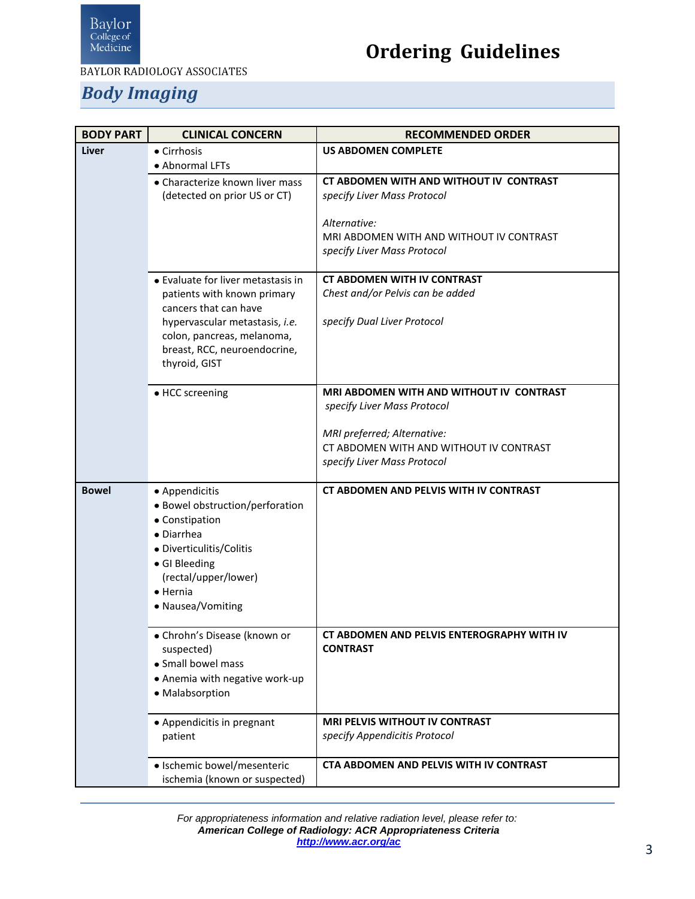

# **Ordering Guidelines**

#### *Body Imaging*

<span id="page-2-1"></span><span id="page-2-0"></span>

| <b>BODY PART</b> | <b>CLINICAL CONCERN</b>                              | <b>RECOMMENDED ORDER</b>                                               |
|------------------|------------------------------------------------------|------------------------------------------------------------------------|
| Liver            | • Cirrhosis                                          | <b>US ABDOMEN COMPLETE</b>                                             |
|                  | • Abnormal LFTs                                      |                                                                        |
|                  | • Characterize known liver mass                      | CT ABDOMEN WITH AND WITHOUT IV CONTRAST                                |
|                  | (detected on prior US or CT)                         | specify Liver Mass Protocol                                            |
|                  |                                                      | Alternative:                                                           |
|                  |                                                      | MRI ABDOMEN WITH AND WITHOUT IV CONTRAST                               |
|                  |                                                      | specify Liver Mass Protocol                                            |
|                  | • Evaluate for liver metastasis in                   | <b>CT ABDOMEN WITH IV CONTRAST</b>                                     |
|                  | patients with known primary<br>cancers that can have | Chest and/or Pelvis can be added                                       |
|                  | hypervascular metastasis, i.e.                       | specify Dual Liver Protocol                                            |
|                  | colon, pancreas, melanoma,                           |                                                                        |
|                  | breast, RCC, neuroendocrine,                         |                                                                        |
|                  | thyroid, GIST                                        |                                                                        |
|                  | • HCC screening                                      | <b>MRI ABDOMEN WITH AND WITHOUT IV CONTRAST</b>                        |
|                  |                                                      | specify Liver Mass Protocol                                            |
|                  |                                                      |                                                                        |
|                  |                                                      | MRI preferred; Alternative:<br>CT ABDOMEN WITH AND WITHOUT IV CONTRAST |
|                  |                                                      | specify Liver Mass Protocol                                            |
|                  |                                                      |                                                                        |
| <b>Bowel</b>     | • Appendicitis                                       | <b>CT ABDOMEN AND PELVIS WITH IV CONTRAST</b>                          |
|                  | • Bowel obstruction/perforation                      |                                                                        |
|                  | • Constipation<br>• Diarrhea                         |                                                                        |
|                  | • Diverticulitis/Colitis                             |                                                                        |
|                  | • GI Bleeding                                        |                                                                        |
|                  | (rectal/upper/lower)                                 |                                                                        |
|                  | $\bullet$ Hernia                                     |                                                                        |
|                  | • Nausea/Vomiting                                    |                                                                        |
|                  | • Chrohn's Disease (known or                         | CT ABDOMEN AND PELVIS ENTEROGRAPHY WITH IV                             |
|                  | suspected)                                           | <b>CONTRAST</b>                                                        |
|                  | • Small bowel mass                                   |                                                                        |
|                  | • Anemia with negative work-up<br>· Malabsorption    |                                                                        |
|                  |                                                      |                                                                        |
|                  | • Appendicitis in pregnant                           | <b>MRI PELVIS WITHOUT IV CONTRAST</b>                                  |
|                  | patient                                              | specify Appendicitis Protocol                                          |
|                  | · Ischemic bowel/mesenteric                          | CTA ABDOMEN AND PELVIS WITH IV CONTRAST                                |
|                  | ischemia (known or suspected)                        |                                                                        |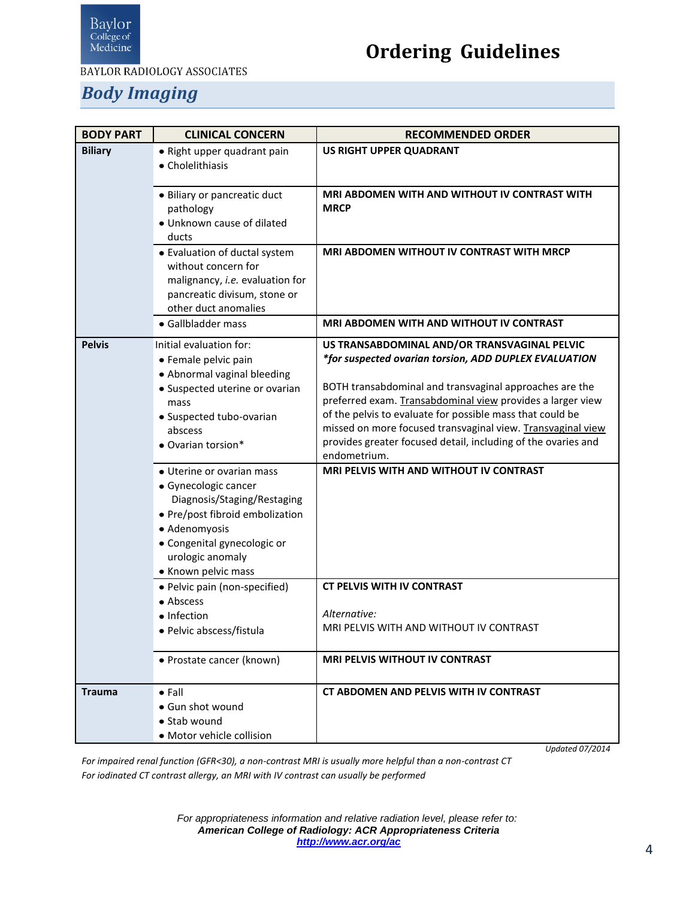

# **Ordering Guidelines**

#### *Body Imaging*

<span id="page-3-1"></span><span id="page-3-0"></span>

| <b>BODY PART</b> | <b>CLINICAL CONCERN</b>                                                                                                                                                                                        | <b>RECOMMENDED ORDER</b>                                                                                                                                                                                                                                                                                                                                   |
|------------------|----------------------------------------------------------------------------------------------------------------------------------------------------------------------------------------------------------------|------------------------------------------------------------------------------------------------------------------------------------------------------------------------------------------------------------------------------------------------------------------------------------------------------------------------------------------------------------|
| <b>Biliary</b>   | • Right upper quadrant pain<br>• Cholelithiasis                                                                                                                                                                | <b>US RIGHT UPPER QUADRANT</b>                                                                                                                                                                                                                                                                                                                             |
|                  | · Biliary or pancreatic duct<br>pathology<br>· Unknown cause of dilated<br>ducts                                                                                                                               | MRI ABDOMEN WITH AND WITHOUT IV CONTRAST WITH<br><b>MRCP</b>                                                                                                                                                                                                                                                                                               |
|                  | • Evaluation of ductal system<br>without concern for<br>malignancy, i.e. evaluation for<br>pancreatic divisum, stone or<br>other duct anomalies                                                                | MRI ABDOMEN WITHOUT IV CONTRAST WITH MRCP                                                                                                                                                                                                                                                                                                                  |
|                  | • Gallbladder mass                                                                                                                                                                                             | MRI ABDOMEN WITH AND WITHOUT IV CONTRAST                                                                                                                                                                                                                                                                                                                   |
| <b>Pelvis</b>    | Initial evaluation for:<br>• Female pelvic pain<br>• Abnormal vaginal bleeding<br>• Suspected uterine or ovarian<br>mass<br>• Suspected tubo-ovarian<br>abscess                                                | US TRANSABDOMINAL AND/OR TRANSVAGINAL PELVIC<br>*for suspected ovarian torsion, ADD DUPLEX EVALUATION<br>BOTH transabdominal and transvaginal approaches are the<br>preferred exam. Transabdominal view provides a larger view<br>of the pelvis to evaluate for possible mass that could be<br>missed on more focused transvaginal view. Transvaginal view |
|                  | • Ovarian torsion*                                                                                                                                                                                             | provides greater focused detail, including of the ovaries and<br>endometrium.                                                                                                                                                                                                                                                                              |
|                  | • Uterine or ovarian mass<br>• Gynecologic cancer<br>Diagnosis/Staging/Restaging<br>• Pre/post fibroid embolization<br>· Adenomyosis<br>· Congenital gynecologic or<br>urologic anomaly<br>• Known pelvic mass | MRI PELVIS WITH AND WITHOUT IV CONTRAST                                                                                                                                                                                                                                                                                                                    |
|                  | · Pelvic pain (non-specified)<br>• Abscess                                                                                                                                                                     | <b>CT PELVIS WITH IV CONTRAST</b>                                                                                                                                                                                                                                                                                                                          |
|                  | • Infection<br>• Pelvic abscess/fistula                                                                                                                                                                        | Alternative:<br>MRI PELVIS WITH AND WITHOUT IV CONTRAST                                                                                                                                                                                                                                                                                                    |
|                  | • Prostate cancer (known)                                                                                                                                                                                      | <b>MRI PELVIS WITHOUT IV CONTRAST</b>                                                                                                                                                                                                                                                                                                                      |
| <b>Trauma</b>    | $\bullet$ Fall<br>• Gun shot wound<br>$\bullet$ Stab wound<br>· Motor vehicle collision                                                                                                                        | CT ABDOMEN AND PELVIS WITH IV CONTRAST                                                                                                                                                                                                                                                                                                                     |

 *Updated 07/2014*

<span id="page-3-2"></span>*For impaired renal function (GFR<30), a non-contrast MRI is usually more helpful than a non-contrast CT For iodinated CT contrast allergy, an MRI with IV contrast can usually be performed*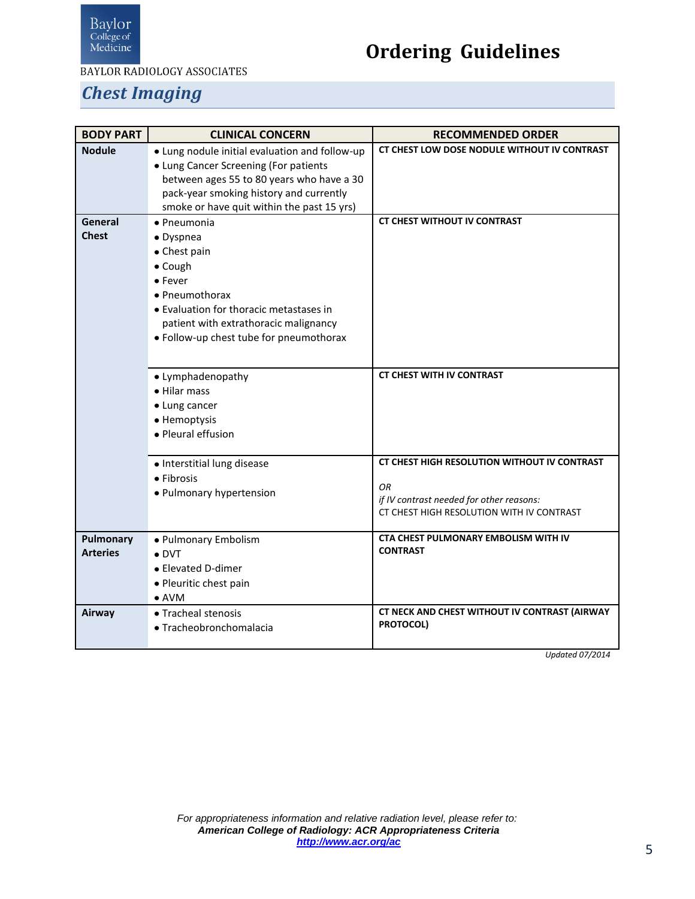

# **Ordering Guidelines**

#### *Chest Imaging*

<span id="page-4-2"></span><span id="page-4-1"></span><span id="page-4-0"></span>

| <b>BODY PART</b> | <b>CLINICAL CONCERN</b>                        | <b>RECOMMENDED ORDER</b>                      |
|------------------|------------------------------------------------|-----------------------------------------------|
| <b>Nodule</b>    | • Lung nodule initial evaluation and follow-up | CT CHEST LOW DOSE NODULE WITHOUT IV CONTRAST  |
|                  | • Lung Cancer Screening (For patients          |                                               |
|                  | between ages 55 to 80 years who have a 30      |                                               |
|                  | pack-year smoking history and currently        |                                               |
|                  | smoke or have quit within the past 15 yrs)     |                                               |
| General          | · Pneumonia                                    | <b>CT CHEST WITHOUT IV CONTRAST</b>           |
| <b>Chest</b>     | · Dyspnea                                      |                                               |
|                  | • Chest pain                                   |                                               |
|                  | • Cough                                        |                                               |
|                  | • Fever                                        |                                               |
|                  | • Pneumothorax                                 |                                               |
|                  | • Evaluation for thoracic metastases in        |                                               |
|                  | patient with extrathoracic malignancy          |                                               |
|                  | • Follow-up chest tube for pneumothorax        |                                               |
|                  |                                                |                                               |
|                  |                                                | <b>CT CHEST WITH IV CONTRAST</b>              |
|                  | • Lymphadenopathy                              |                                               |
|                  | • Hilar mass                                   |                                               |
|                  | • Lung cancer                                  |                                               |
|                  | • Hemoptysis<br>• Pleural effusion             |                                               |
|                  |                                                |                                               |
|                  | · Interstitial lung disease                    | CT CHEST HIGH RESOLUTION WITHOUT IV CONTRAST  |
|                  | • Fibrosis                                     |                                               |
|                  | • Pulmonary hypertension                       | OR                                            |
|                  |                                                | if IV contrast needed for other reasons:      |
|                  |                                                | CT CHEST HIGH RESOLUTION WITH IV CONTRAST     |
| Pulmonary        | • Pulmonary Embolism                           | <b>CTA CHEST PULMONARY EMBOLISM WITH IV</b>   |
| <b>Arteries</b>  | $\bullet$ DVT                                  | <b>CONTRAST</b>                               |
|                  | • Elevated D-dimer                             |                                               |
|                  | · Pleuritic chest pain                         |                                               |
|                  | $\bullet$ AVM                                  |                                               |
| Airway           | • Tracheal stenosis                            | CT NECK AND CHEST WITHOUT IV CONTRAST (AIRWAY |
|                  | · Tracheobronchomalacia                        | PROTOCOL)                                     |
|                  |                                                |                                               |

<span id="page-4-3"></span>*Updated 07/2014*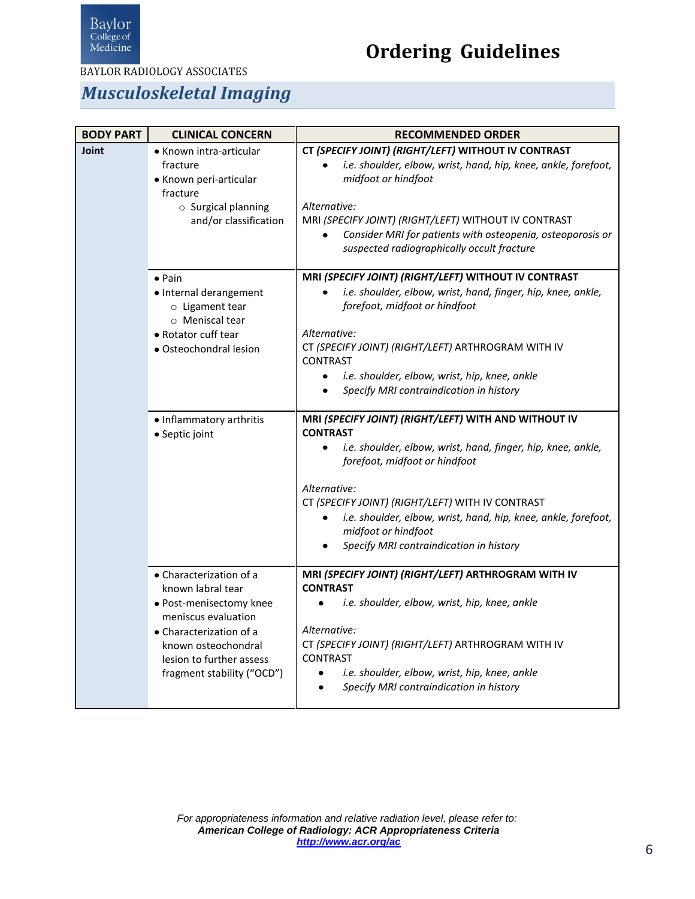

**BAYLOR RADIOLOGY ASSOCIATES** 

#### *Musculoskeletal Imaging*

<span id="page-5-0"></span>

| <b>BODY PART</b> | <b>CLINICAL CONCERN</b>                                                                                                                                                                                    | <b>RECOMMENDED ORDER</b>                                                                                                                                                                                                                                                                                                                                                                                                |
|------------------|------------------------------------------------------------------------------------------------------------------------------------------------------------------------------------------------------------|-------------------------------------------------------------------------------------------------------------------------------------------------------------------------------------------------------------------------------------------------------------------------------------------------------------------------------------------------------------------------------------------------------------------------|
| Joint            | • Known intra-articular<br>fracture<br>• Known peri-articular<br>fracture<br>$\circ$ Surgical planning<br>and/or classification                                                                            | CT (SPECIFY JOINT) (RIGHT/LEFT) WITHOUT IV CONTRAST<br>i.e. shoulder, elbow, wrist, hand, hip, knee, ankle, forefoot,<br>midfoot or hindfoot<br>Alternative:<br>MRI (SPECIFY JOINT) (RIGHT/LEFT) WITHOUT IV CONTRAST<br>Consider MRI for patients with osteopenia, osteoporosis or<br>suspected radiographically occult fracture                                                                                        |
|                  | $\bullet$ Pain<br>· Internal derangement<br>o Ligament tear<br>o Meniscal tear<br>• Rotator cuff tear<br>· Osteochondral lesion                                                                            | MRI (SPECIFY JOINT) (RIGHT/LEFT) WITHOUT IV CONTRAST<br>i.e. shoulder, elbow, wrist, hand, finger, hip, knee, ankle,<br>forefoot, midfoot or hindfoot<br>Alternative:<br>CT (SPECIFY JOINT) (RIGHT/LEFT) ARTHROGRAM WITH IV<br><b>CONTRAST</b><br>i.e. shoulder, elbow, wrist, hip, knee, ankle<br>$\bullet$<br>Specify MRI contraindication in history<br>٠                                                            |
|                  | • Inflammatory arthritis<br>• Septic joint                                                                                                                                                                 | MRI (SPECIFY JOINT) (RIGHT/LEFT) WITH AND WITHOUT IV<br><b>CONTRAST</b><br>i.e. shoulder, elbow, wrist, hand, finger, hip, knee, ankle,<br>$\bullet$<br>forefoot, midfoot or hindfoot<br>Alternative:<br>CT (SPECIFY JOINT) (RIGHT/LEFT) WITH IV CONTRAST<br>i.e. shoulder, elbow, wrist, hand, hip, knee, ankle, forefoot,<br>$\bullet$<br>midfoot or hindfoot<br>Specify MRI contraindication in history<br>$\bullet$ |
|                  | • Characterization of a<br>known labral tear<br>· Post-menisectomy knee<br>meniscus evaluation<br>• Characterization of a<br>known osteochondral<br>lesion to further assess<br>fragment stability ("OCD") | MRI (SPECIFY JOINT) (RIGHT/LEFT) ARTHROGRAM WITH IV<br><b>CONTRAST</b><br>i.e. shoulder, elbow, wrist, hip, knee, ankle<br>Alternative:<br>CT (SPECIFY JOINT) (RIGHT/LEFT) ARTHROGRAM WITH IV<br><b>CONTRAST</b><br>i.e. shoulder, elbow, wrist, hip, knee, ankle<br>٠<br>Specify MRI contraindication in history<br>$\bullet$                                                                                          |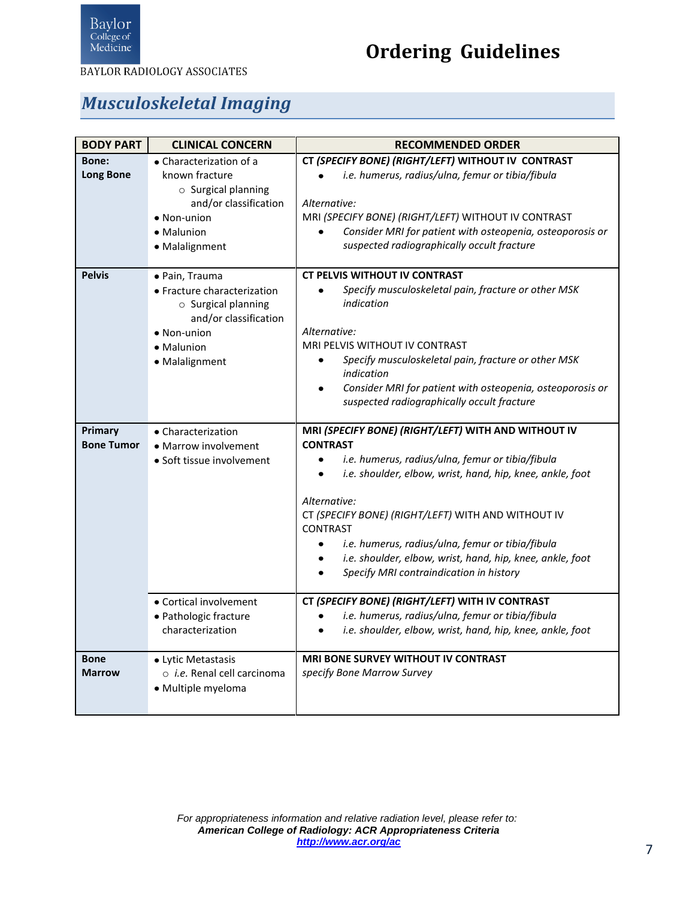

**BAYLOR RADIOLOGY ASSOCIATES** 

#### *Musculoskeletal Imaging*

<span id="page-6-0"></span>

| <b>BODY PART</b>             | <b>CLINICAL CONCERN</b>                                                                                                                            | <b>RECOMMENDED ORDER</b>                                                                                                                                                                                                                                                                                                                                                                                                                                                                 |
|------------------------------|----------------------------------------------------------------------------------------------------------------------------------------------------|------------------------------------------------------------------------------------------------------------------------------------------------------------------------------------------------------------------------------------------------------------------------------------------------------------------------------------------------------------------------------------------------------------------------------------------------------------------------------------------|
| Bone:<br><b>Long Bone</b>    | • Characterization of a<br>known fracture<br>$\circ$ Surgical planning<br>and/or classification<br>· Non-union<br>• Malunion<br>· Malalignment     | CT (SPECIFY BONE) (RIGHT/LEFT) WITHOUT IV CONTRAST<br>i.e. humerus, radius/ulna, femur or tibia/fibula<br>Alternative:<br>MRI (SPECIFY BONE) (RIGHT/LEFT) WITHOUT IV CONTRAST<br>Consider MRI for patient with osteopenia, osteoporosis or<br>$\bullet$<br>suspected radiographically occult fracture                                                                                                                                                                                    |
| <b>Pelvis</b>                | · Pain, Trauma<br>• Fracture characterization<br>$\circ$ Surgical planning<br>and/or classification<br>• Non-union<br>• Malunion<br>• Malalignment | <b>CT PELVIS WITHOUT IV CONTRAST</b><br>Specify musculoskeletal pain, fracture or other MSK<br>$\bullet$<br>indication<br>Alternative:<br><b>MRI PELVIS WITHOUT IV CONTRAST</b><br>Specify musculoskeletal pain, fracture or other MSK<br>$\bullet$<br>indication<br>Consider MRI for patient with osteopenia, osteoporosis or<br>٠<br>suspected radiographically occult fracture                                                                                                        |
| Primary<br><b>Bone Tumor</b> | • Characterization<br>• Marrow involvement<br>• Soft tissue involvement                                                                            | MRI (SPECIFY BONE) (RIGHT/LEFT) WITH AND WITHOUT IV<br><b>CONTRAST</b><br>i.e. humerus, radius/ulna, femur or tibia/fibula<br>$\bullet$<br>i.e. shoulder, elbow, wrist, hand, hip, knee, ankle, foot<br>$\bullet$<br>Alternative:<br>CT (SPECIFY BONE) (RIGHT/LEFT) WITH AND WITHOUT IV<br><b>CONTRAST</b><br>i.e. humerus, radius/ulna, femur or tibia/fibula<br>$\bullet$<br>i.e. shoulder, elbow, wrist, hand, hip, knee, ankle, foot<br>٠<br>Specify MRI contraindication in history |
|                              | • Cortical involvement<br>· Pathologic fracture<br>characterization                                                                                | CT (SPECIFY BONE) (RIGHT/LEFT) WITH IV CONTRAST<br>i.e. humerus, radius/ulna, femur or tibia/fibula<br>$\bullet$<br>i.e. shoulder, elbow, wrist, hand, hip, knee, ankle, foot<br>$\bullet$                                                                                                                                                                                                                                                                                               |
| <b>Bone</b><br><b>Marrow</b> | • Lytic Metastasis<br>o <i>i.e.</i> Renal cell carcinoma<br>· Multiple myeloma                                                                     | <b>MRI BONE SURVEY WITHOUT IV CONTRAST</b><br>specify Bone Marrow Survey                                                                                                                                                                                                                                                                                                                                                                                                                 |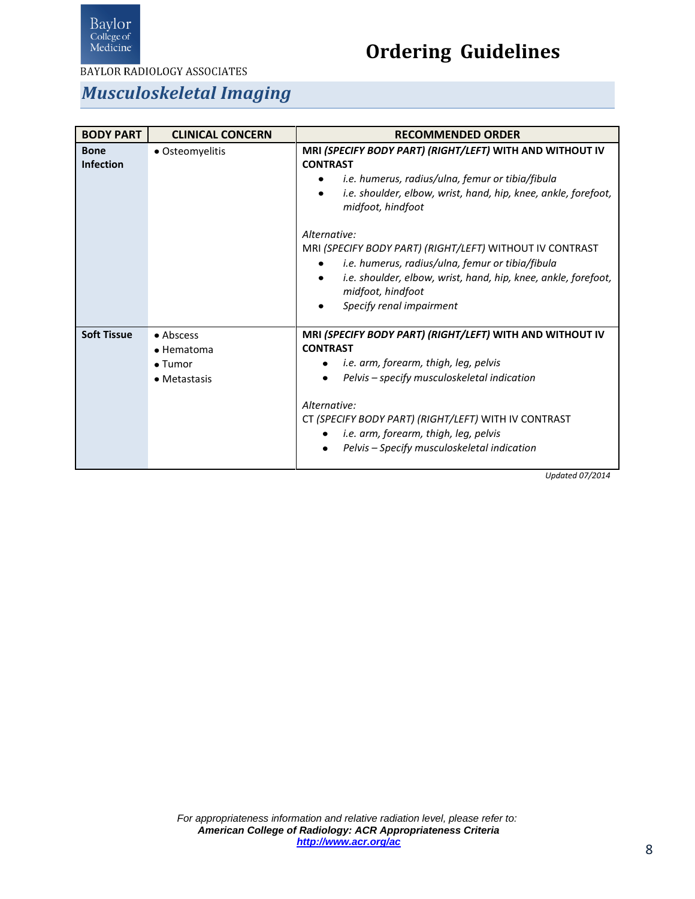

**BAYLOR RADIOLOGY ASSOCIATES** 

#### *Musculoskeletal Imaging*

<span id="page-7-0"></span>

| <b>BODY PART</b>                | <b>CLINICAL CONCERN</b>                                    | <b>RECOMMENDED ORDER</b>                                                                                                                                                                                                                                                                                                                                                                                                                                                                            |
|---------------------------------|------------------------------------------------------------|-----------------------------------------------------------------------------------------------------------------------------------------------------------------------------------------------------------------------------------------------------------------------------------------------------------------------------------------------------------------------------------------------------------------------------------------------------------------------------------------------------|
| <b>Bone</b><br><b>Infection</b> | • Osteomyelitis                                            | MRI (SPECIFY BODY PART) (RIGHT/LEFT) WITH AND WITHOUT IV<br><b>CONTRAST</b><br>i.e. humerus, radius/ulna, femur or tibia/fibula<br>i.e. shoulder, elbow, wrist, hand, hip, knee, ankle, forefoot,<br>$\bullet$<br>midfoot, hindfoot<br>Alternative:<br>MRI (SPECIFY BODY PART) (RIGHT/LEFT) WITHOUT IV CONTRAST<br>i.e. humerus, radius/ulna, femur or tibia/fibula<br>i.e. shoulder, elbow, wrist, hand, hip, knee, ankle, forefoot,<br>$\bullet$<br>midfoot, hindfoot<br>Specify renal impairment |
| <b>Soft Tissue</b>              | • Abscess<br>• Hematoma<br>$\bullet$ Tumor<br>• Metastasis | MRI (SPECIFY BODY PART) (RIGHT/LEFT) WITH AND WITHOUT IV<br><b>CONTRAST</b><br>i.e. arm, forearm, thigh, leg, pelvis<br>Pelvis – specify musculoskeletal indication<br>Alternative:<br>CT (SPECIFY BODY PART) (RIGHT/LEFT) WITH IV CONTRAST<br>i.e. arm, forearm, thigh, leg, pelvis<br>Pelvis - Specify musculoskeletal indication<br>Hndatod 07/2011                                                                                                                                              |

*Updated 07/2014*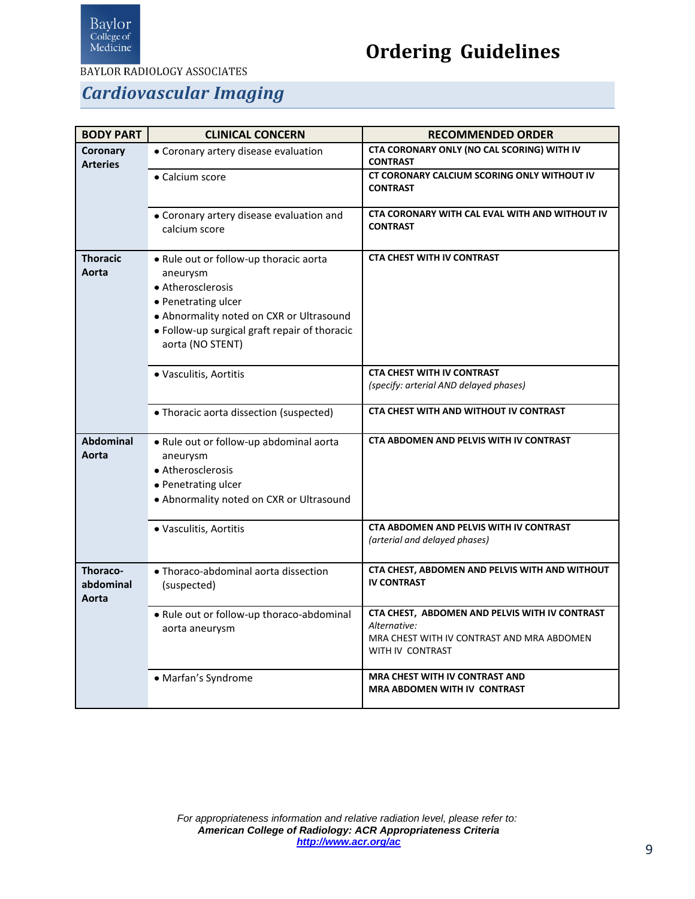

**BAYLOR RADIOLOGY ASSOCIATES** 

#### *Cardiovascular Imaging*

<span id="page-8-3"></span><span id="page-8-2"></span><span id="page-8-1"></span><span id="page-8-0"></span>

| <b>BODY PART</b>               | <b>CLINICAL CONCERN</b>                                                                                                                                                                                         | <b>RECOMMENDED ORDER</b>                                                                                                         |
|--------------------------------|-----------------------------------------------------------------------------------------------------------------------------------------------------------------------------------------------------------------|----------------------------------------------------------------------------------------------------------------------------------|
| Coronary<br><b>Arteries</b>    | • Coronary artery disease evaluation                                                                                                                                                                            | CTA CORONARY ONLY (NO CAL SCORING) WITH IV<br><b>CONTRAST</b>                                                                    |
|                                | • Calcium score                                                                                                                                                                                                 | CT CORONARY CALCIUM SCORING ONLY WITHOUT IV<br><b>CONTRAST</b>                                                                   |
|                                | • Coronary artery disease evaluation and<br>calcium score                                                                                                                                                       | CTA CORONARY WITH CAL EVAL WITH AND WITHOUT IV<br><b>CONTRAST</b>                                                                |
| <b>Thoracic</b><br>Aorta       | . Rule out or follow-up thoracic aorta<br>aneurysm<br>• Atherosclerosis<br>• Penetrating ulcer<br>• Abnormality noted on CXR or Ultrasound<br>• Follow-up surgical graft repair of thoracic<br>aorta (NO STENT) | <b>CTA CHEST WITH IV CONTRAST</b>                                                                                                |
|                                | · Vasculitis, Aortitis                                                                                                                                                                                          | <b>CTA CHEST WITH IV CONTRAST</b><br>(specify: arterial AND delayed phases)                                                      |
|                                | • Thoracic aorta dissection (suspected)                                                                                                                                                                         | CTA CHEST WITH AND WITHOUT IV CONTRAST                                                                                           |
| <b>Abdominal</b><br>Aorta      | . Rule out or follow-up abdominal aorta<br>aneurysm<br>• Atherosclerosis<br>• Penetrating ulcer<br>• Abnormality noted on CXR or Ultrasound                                                                     | CTA ABDOMEN AND PELVIS WITH IV CONTRAST                                                                                          |
|                                | · Vasculitis, Aortitis                                                                                                                                                                                          | CTA ABDOMEN AND PELVIS WITH IV CONTRAST<br>(arterial and delayed phases)                                                         |
| Thoraco-<br>abdominal<br>Aorta | · Thoraco-abdominal aorta dissection<br>(suspected)                                                                                                                                                             | CTA CHEST, ABDOMEN AND PELVIS WITH AND WITHOUT<br><b>IV CONTRAST</b>                                                             |
|                                | . Rule out or follow-up thoraco-abdominal<br>aorta aneurysm                                                                                                                                                     | CTA CHEST, ABDOMEN AND PELVIS WITH IV CONTRAST<br>Alternative:<br>MRA CHEST WITH IV CONTRAST AND MRA ABDOMEN<br>WITH IV CONTRAST |
|                                | · Marfan's Syndrome                                                                                                                                                                                             | MRA CHEST WITH IV CONTRAST AND<br><b>MRA ABDOMEN WITH IV CONTRAST</b>                                                            |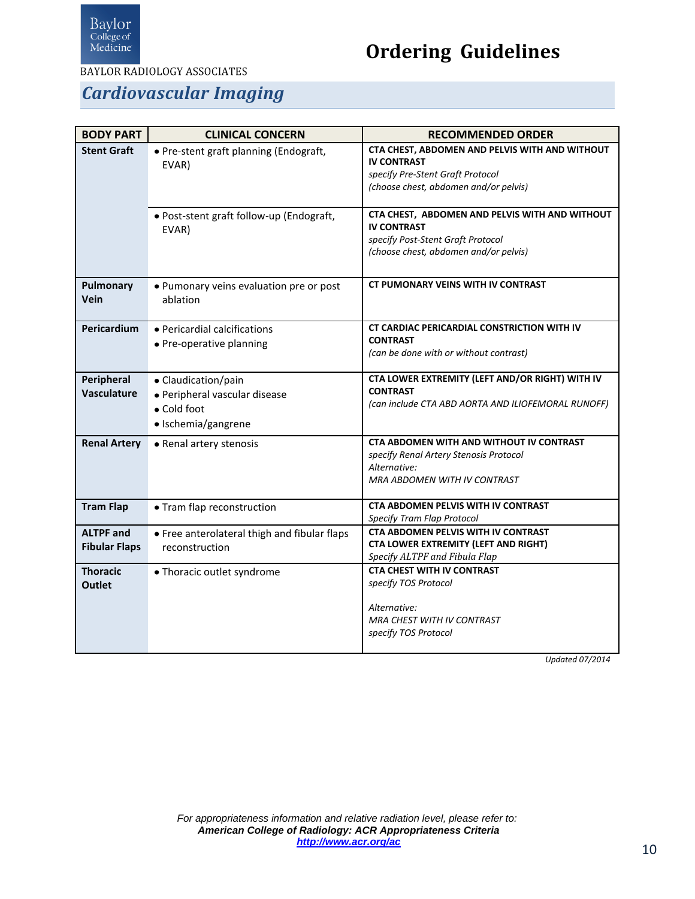

## **Ordering Guidelines**

#### *Cardiovascular Imaging*

<span id="page-9-7"></span><span id="page-9-6"></span><span id="page-9-5"></span><span id="page-9-4"></span><span id="page-9-3"></span><span id="page-9-2"></span><span id="page-9-1"></span><span id="page-9-0"></span>

| <b>BODY PART</b>                         | <b>CLINICAL CONCERN</b>                                                                    | <b>RECOMMENDED ORDER</b>                                                                                                                           |
|------------------------------------------|--------------------------------------------------------------------------------------------|----------------------------------------------------------------------------------------------------------------------------------------------------|
| <b>Stent Graft</b>                       | · Pre-stent graft planning (Endograft,<br>EVAR)                                            | CTA CHEST, ABDOMEN AND PELVIS WITH AND WITHOUT<br><b>IV CONTRAST</b><br>specify Pre-Stent Graft Protocol<br>(choose chest, abdomen and/or pelvis)  |
|                                          | • Post-stent graft follow-up (Endograft,<br>EVAR)                                          | CTA CHEST, ABDOMEN AND PELVIS WITH AND WITHOUT<br><b>IV CONTRAST</b><br>specify Post-Stent Graft Protocol<br>(choose chest, abdomen and/or pelvis) |
| <b>Pulmonary</b><br>Vein                 | • Pumonary veins evaluation pre or post<br>ablation                                        | CT PUMONARY VEINS WITH IV CONTRAST                                                                                                                 |
| Pericardium                              | • Pericardial calcifications<br>• Pre-operative planning                                   | CT CARDIAC PERICARDIAL CONSTRICTION WITH IV<br><b>CONTRAST</b><br>(can be done with or without contrast)                                           |
| Peripheral<br>Vasculature                | • Claudication/pain<br>· Peripheral vascular disease<br>• Cold foot<br>· Ischemia/gangrene | CTA LOWER EXTREMITY (LEFT AND/OR RIGHT) WITH IV<br><b>CONTRAST</b><br>(can include CTA ABD AORTA AND ILIOFEMORAL RUNOFF)                           |
| <b>Renal Artery</b>                      | • Renal artery stenosis                                                                    | CTA ABDOMEN WITH AND WITHOUT IV CONTRAST<br>specify Renal Artery Stenosis Protocol<br>Alternative:<br><b>MRA ABDOMEN WITH IV CONTRAST</b>          |
| <b>Tram Flap</b>                         | • Tram flap reconstruction                                                                 | CTA ABDOMEN PELVIS WITH IV CONTRAST<br>Specify Tram Flap Protocol                                                                                  |
| <b>ALTPF and</b><br><b>Fibular Flaps</b> | • Free anterolateral thigh and fibular flaps<br>reconstruction                             | <b>CTA ABDOMEN PELVIS WITH IV CONTRAST</b><br>CTA LOWER EXTREMITY (LEFT AND RIGHT)<br>Specify ALTPF and Fibula Flap                                |
| <b>Thoracic</b><br><b>Outlet</b>         | • Thoracic outlet syndrome                                                                 | <b>CTA CHEST WITH IV CONTRAST</b><br>specify TOS Protocol<br>Alternative:<br>MRA CHEST WITH IV CONTRAST<br>specify TOS Protocol                    |

*Updated 07/2014*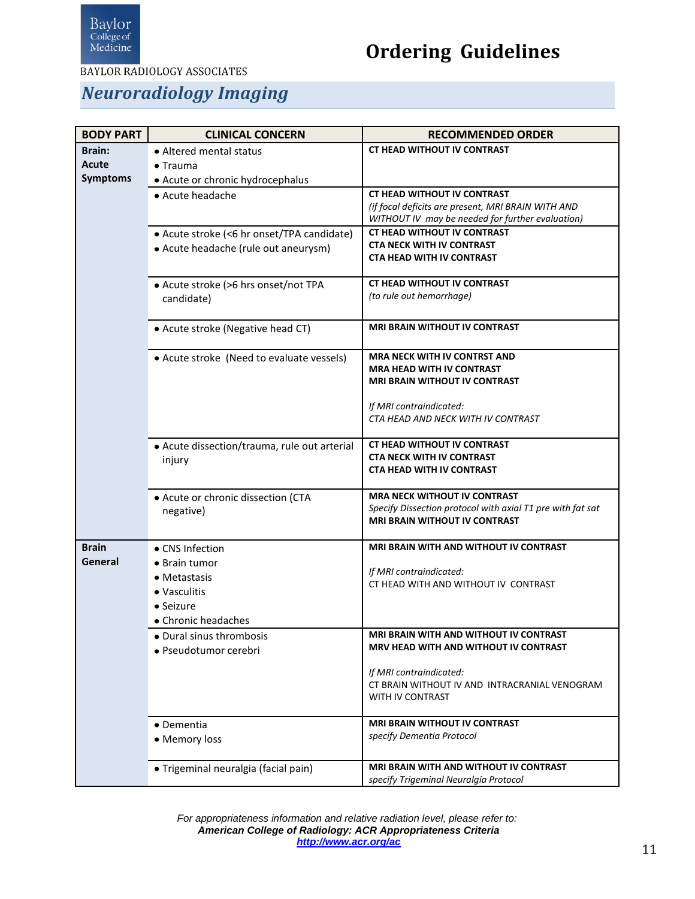

**BAYLOR RADIOLOGY ASSOCIATES** 

#### *Neuroradiology Imaging*

<span id="page-10-1"></span><span id="page-10-0"></span>

| <b>BODY PART</b> | <b>CLINICAL CONCERN</b>                      | <b>RECOMMENDED ORDER</b>                                                                          |
|------------------|----------------------------------------------|---------------------------------------------------------------------------------------------------|
| <b>Brain:</b>    | • Altered mental status                      | <b>CT HEAD WITHOUT IV CONTRAST</b>                                                                |
| Acute            | $\bullet$ Trauma                             |                                                                                                   |
| <b>Symptoms</b>  | · Acute or chronic hydrocephalus             |                                                                                                   |
|                  | • Acute headache                             | <b>CT HEAD WITHOUT IV CONTRAST</b>                                                                |
|                  |                                              | (if focal deficits are present, MRI BRAIN WITH AND                                                |
|                  |                                              | WITHOUT IV may be needed for further evaluation)                                                  |
|                  | • Acute stroke (<6 hr onset/TPA candidate)   | <b>CT HEAD WITHOUT IV CONTRAST</b>                                                                |
|                  | • Acute headache (rule out aneurysm)         | <b>CTA NECK WITH IV CONTRAST</b>                                                                  |
|                  |                                              | <b>CTA HEAD WITH IV CONTRAST</b>                                                                  |
|                  | • Acute stroke (>6 hrs onset/not TPA         | <b>CT HEAD WITHOUT IV CONTRAST</b>                                                                |
|                  | candidate)                                   | (to rule out hemorrhage)                                                                          |
|                  |                                              |                                                                                                   |
|                  | • Acute stroke (Negative head CT)            | <b>MRI BRAIN WITHOUT IV CONTRAST</b>                                                              |
|                  |                                              |                                                                                                   |
|                  | • Acute stroke (Need to evaluate vessels)    | <b>MRA NECK WITH IV CONTRST AND</b>                                                               |
|                  |                                              | <b>MRA HEAD WITH IV CONTRAST</b>                                                                  |
|                  |                                              | <b>MRI BRAIN WITHOUT IV CONTRAST</b>                                                              |
|                  |                                              | If MRI contraindicated:                                                                           |
|                  |                                              | CTA HEAD AND NECK WITH IV CONTRAST                                                                |
|                  |                                              |                                                                                                   |
|                  | • Acute dissection/trauma, rule out arterial | <b>CT HEAD WITHOUT IV CONTRAST</b>                                                                |
|                  | injury                                       | <b>CTA NECK WITH IV CONTRAST</b>                                                                  |
|                  |                                              | <b>CTA HEAD WITH IV CONTRAST</b>                                                                  |
|                  |                                              |                                                                                                   |
|                  | • Acute or chronic dissection (CTA           | <b>MRA NECK WITHOUT IV CONTRAST</b><br>Specify Dissection protocol with axial T1 pre with fat sat |
|                  | negative)                                    | <b>MRI BRAIN WITHOUT IV CONTRAST</b>                                                              |
|                  |                                              |                                                                                                   |
| <b>Brain</b>     | • CNS Infection                              | <b>MRI BRAIN WITH AND WITHOUT IV CONTRAST</b>                                                     |
| General          | • Brain tumor                                |                                                                                                   |
|                  | • Metastasis                                 | If MRI contraindicated:                                                                           |
|                  | • Vasculitis                                 | CT HEAD WITH AND WITHOUT IV CONTRAST                                                              |
|                  | $\bullet$ Seizure                            |                                                                                                   |
|                  | • Chronic headaches                          |                                                                                                   |
|                  | • Dural sinus thrombosis                     | MRI BRAIN WITH AND WITHOUT IV CONTRAST                                                            |
|                  | • Pseudotumor cerebri                        | MRV HEAD WITH AND WITHOUT IV CONTRAST                                                             |
|                  |                                              |                                                                                                   |
|                  |                                              | If MRI contraindicated:                                                                           |
|                  |                                              | CT BRAIN WITHOUT IV AND INTRACRANIAL VENOGRAM<br>WITH IV CONTRAST                                 |
|                  |                                              |                                                                                                   |
|                  | • Dementia                                   | <b>MRI BRAIN WITHOUT IV CONTRAST</b>                                                              |
|                  | • Memory loss                                | specify Dementia Protocol                                                                         |
|                  |                                              |                                                                                                   |
|                  | · Trigeminal neuralgia (facial pain)         | MRI BRAIN WITH AND WITHOUT IV CONTRAST                                                            |
|                  |                                              | specify Trigeminal Neuralgia Protocol                                                             |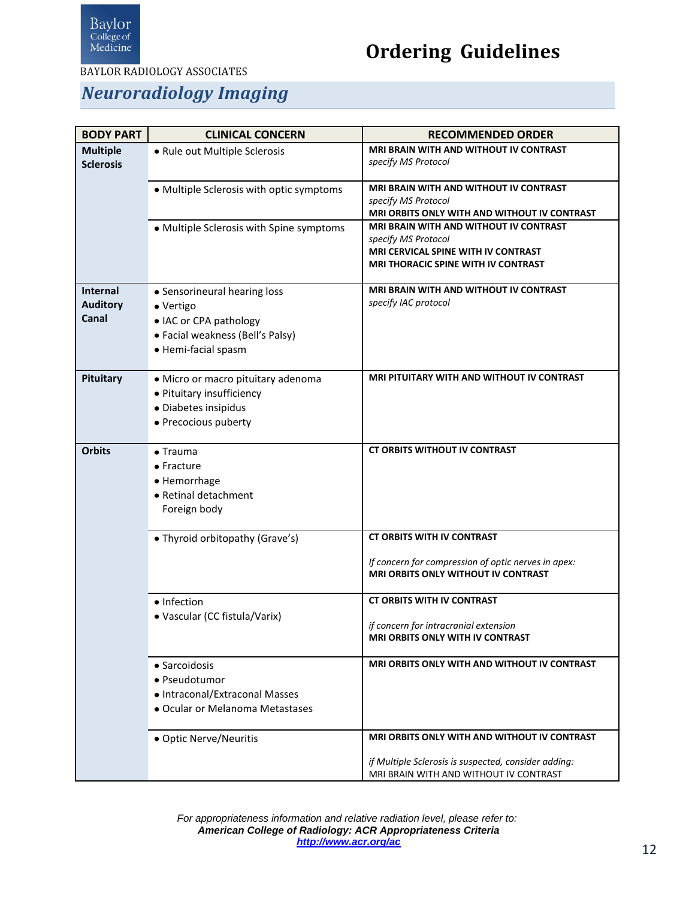

**BAYLOR RADIOLOGY ASSOCIATES** 

#### *Neuroradiology Imaging*

<span id="page-11-3"></span><span id="page-11-2"></span><span id="page-11-1"></span><span id="page-11-0"></span>

| <b>BODY PART</b> | <b>CLINICAL CONCERN</b>                  | <b>RECOMMENDED ORDER</b>                             |
|------------------|------------------------------------------|------------------------------------------------------|
| <b>Multiple</b>  | • Rule out Multiple Sclerosis            | <b>MRI BRAIN WITH AND WITHOUT IV CONTRAST</b>        |
| <b>Sclerosis</b> |                                          | specify MS Protocol                                  |
|                  |                                          | MRI BRAIN WITH AND WITHOUT IV CONTRAST               |
|                  | • Multiple Sclerosis with optic symptoms | specify MS Protocol                                  |
|                  |                                          | MRI ORBITS ONLY WITH AND WITHOUT IV CONTRAST         |
|                  | • Multiple Sclerosis with Spine symptoms | MRI BRAIN WITH AND WITHOUT IV CONTRAST               |
|                  |                                          | specify MS Protocol                                  |
|                  |                                          | MRI CERVICAL SPINE WITH IV CONTRAST                  |
|                  |                                          | <b>MRI THORACIC SPINE WITH IV CONTRAST</b>           |
| <b>Internal</b>  | • Sensorineural hearing loss             | MRI BRAIN WITH AND WITHOUT IV CONTRAST               |
| <b>Auditory</b>  | • Vertigo                                | specify IAC protocol                                 |
| Canal            | • IAC or CPA pathology                   |                                                      |
|                  | • Facial weakness (Bell's Palsy)         |                                                      |
|                  | • Hemi-facial spasm                      |                                                      |
|                  |                                          |                                                      |
| Pituitary        | · Micro or macro pituitary adenoma       | <b>MRI PITUITARY WITH AND WITHOUT IV CONTRAST</b>    |
|                  | • Pituitary insufficiency                |                                                      |
|                  | · Diabetes insipidus                     |                                                      |
|                  | • Precocious puberty                     |                                                      |
|                  |                                          |                                                      |
| <b>Orbits</b>    | $\bullet$ Trauma                         | <b>CT ORBITS WITHOUT IV CONTRAST</b>                 |
|                  | $\bullet$ Fracture                       |                                                      |
|                  | • Hemorrhage                             |                                                      |
|                  | • Retinal detachment                     |                                                      |
|                  | Foreign body                             |                                                      |
|                  | • Thyroid orbitopathy (Grave's)          | <b>CT ORBITS WITH IV CONTRAST</b>                    |
|                  |                                          |                                                      |
|                  |                                          | If concern for compression of optic nerves in apex:  |
|                  |                                          | <b>MRI ORBITS ONLY WITHOUT IV CONTRAST</b>           |
|                  | • Infection                              | <b>CT ORBITS WITH IV CONTRAST</b>                    |
|                  | • Vascular (CC fistula/Varix)            |                                                      |
|                  |                                          | if concern for intracranial extension                |
|                  |                                          | <b>MRI ORBITS ONLY WITH IV CONTRAST</b>              |
|                  | • Sarcoidosis                            | <b>MRI ORBITS ONLY WITH AND WITHOUT IV CONTRAST</b>  |
|                  | • Pseudotumor                            |                                                      |
|                  | • Intraconal/Extraconal Masses           |                                                      |
|                  | · Ocular or Melanoma Metastases          |                                                      |
|                  |                                          |                                                      |
|                  | • Optic Nerve/Neuritis                   | MRI ORBITS ONLY WITH AND WITHOUT IV CONTRAST         |
|                  |                                          | if Multiple Sclerosis is suspected, consider adding: |
|                  |                                          | MRI BRAIN WITH AND WITHOUT IV CONTRAST               |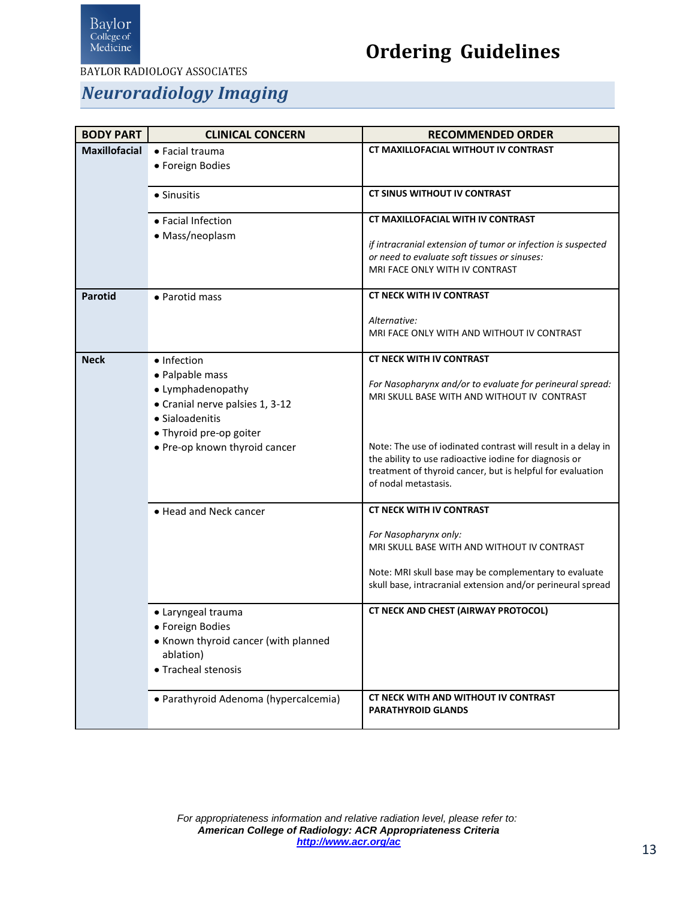

**BAYLOR RADIOLOGY ASSOCIATES** 

#### *Neuroradiology Imaging*

<span id="page-12-2"></span><span id="page-12-1"></span><span id="page-12-0"></span>

| <b>BODY PART</b>     | <b>CLINICAL CONCERN</b>               | <b>RECOMMENDED ORDER</b>                                                                                                |
|----------------------|---------------------------------------|-------------------------------------------------------------------------------------------------------------------------|
| <b>Maxillofacial</b> | $\bullet$ Facial trauma               | CT MAXILLOFACIAL WITHOUT IV CONTRAST                                                                                    |
|                      | • Foreign Bodies                      |                                                                                                                         |
|                      | • Sinusitis                           | <b>CT SINUS WITHOUT IV CONTRAST</b>                                                                                     |
|                      | • Facial Infection                    | <b>CT MAXILLOFACIAL WITH IV CONTRAST</b>                                                                                |
|                      | • Mass/neoplasm                       |                                                                                                                         |
|                      |                                       | if intracranial extension of tumor or infection is suspected<br>or need to evaluate soft tissues or sinuses:            |
|                      |                                       | MRI FACE ONLY WITH IV CONTRAST                                                                                          |
| <b>Parotid</b>       | • Parotid mass                        | <b>CT NECK WITH IV CONTRAST</b>                                                                                         |
|                      |                                       | Alternative:                                                                                                            |
|                      |                                       | MRI FACE ONLY WITH AND WITHOUT IV CONTRAST                                                                              |
| <b>Neck</b>          | • Infection                           | <b>CT NECK WITH IV CONTRAST</b>                                                                                         |
|                      | • Palpable mass                       |                                                                                                                         |
|                      | • Lymphadenopathy                     | For Nasopharynx and/or to evaluate for perineural spread:<br>MRI SKULL BASE WITH AND WITHOUT IV CONTRAST                |
|                      | • Cranial nerve palsies 1, 3-12       |                                                                                                                         |
|                      | • Sialoadenitis                       |                                                                                                                         |
|                      | • Thyroid pre-op goiter               |                                                                                                                         |
|                      | • Pre-op known thyroid cancer         | Note: The use of iodinated contrast will result in a delay in<br>the ability to use radioactive iodine for diagnosis or |
|                      |                                       | treatment of thyroid cancer, but is helpful for evaluation                                                              |
|                      |                                       | of nodal metastasis.                                                                                                    |
|                      | • Head and Neck cancer                | <b>CT NECK WITH IV CONTRAST</b>                                                                                         |
|                      |                                       | For Nasopharynx only:                                                                                                   |
|                      |                                       | MRI SKULL BASE WITH AND WITHOUT IV CONTRAST                                                                             |
|                      |                                       | Note: MRI skull base may be complementary to evaluate                                                                   |
|                      |                                       | skull base, intracranial extension and/or perineural spread                                                             |
|                      | • Laryngeal trauma                    | CT NECK AND CHEST (AIRWAY PROTOCOL)                                                                                     |
|                      | • Foreign Bodies                      |                                                                                                                         |
|                      | • Known thyroid cancer (with planned  |                                                                                                                         |
|                      | ablation)                             |                                                                                                                         |
|                      | • Tracheal stenosis                   |                                                                                                                         |
|                      | · Parathyroid Adenoma (hypercalcemia) | CT NECK WITH AND WITHOUT IV CONTRAST<br><b>PARATHYROID GLANDS</b>                                                       |
|                      |                                       |                                                                                                                         |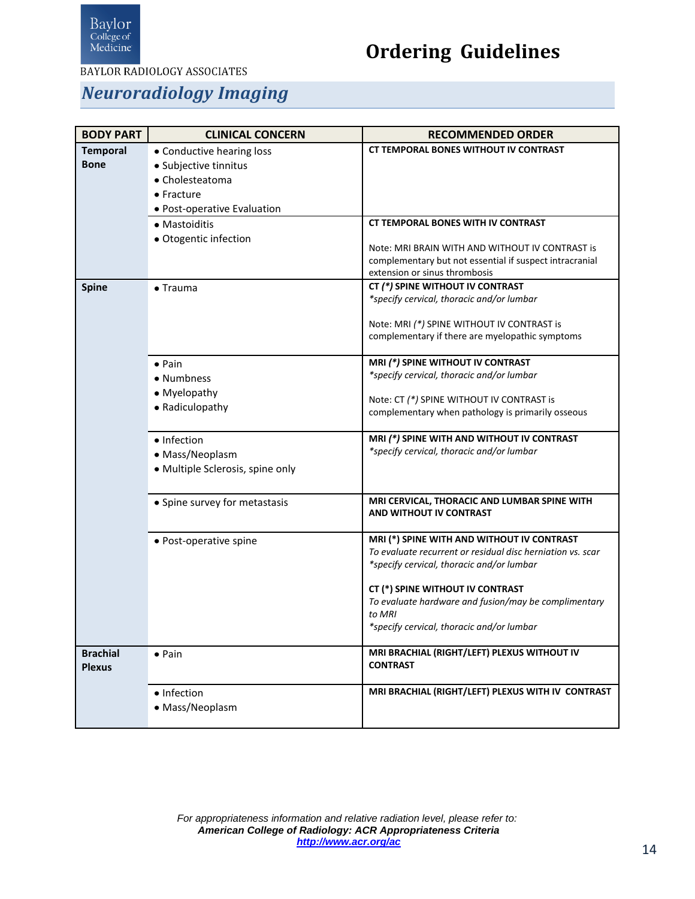

**BAYLOR RADIOLOGY ASSOCIATES** 

#### *Neuroradiology Imaging*

<span id="page-13-2"></span><span id="page-13-1"></span><span id="page-13-0"></span>

| <b>BODY PART</b> | <b>CLINICAL CONCERN</b>          | <b>RECOMMENDED ORDER</b>                                                                                   |
|------------------|----------------------------------|------------------------------------------------------------------------------------------------------------|
| <b>Temporal</b>  | • Conductive hearing loss        | <b>CT TEMPORAL BONES WITHOUT IV CONTRAST</b>                                                               |
| <b>Bone</b>      | · Subjective tinnitus            |                                                                                                            |
|                  | • Cholesteatoma<br>• Fracture    |                                                                                                            |
|                  | • Post-operative Evaluation      |                                                                                                            |
|                  | • Mastoiditis                    | <b>CT TEMPORAL BONES WITH IV CONTRAST</b>                                                                  |
|                  | · Otogentic infection            |                                                                                                            |
|                  |                                  | Note: MRI BRAIN WITH AND WITHOUT IV CONTRAST is<br>complementary but not essential if suspect intracranial |
|                  |                                  | extension or sinus thrombosis                                                                              |
| <b>Spine</b>     | $\bullet$ Trauma                 | CT (*) SPINE WITHOUT IV CONTRAST                                                                           |
|                  |                                  | *specify cervical, thoracic and/or lumbar                                                                  |
|                  |                                  | Note: MRI (*) SPINE WITHOUT IV CONTRAST is                                                                 |
|                  |                                  | complementary if there are myelopathic symptoms                                                            |
|                  | $\bullet$ Pain                   | MRI (*) SPINE WITHOUT IV CONTRAST                                                                          |
|                  | • Numbness                       | *specify cervical, thoracic and/or lumbar                                                                  |
|                  | • Myelopathy                     |                                                                                                            |
|                  | • Radiculopathy                  | Note: CT (*) SPINE WITHOUT IV CONTRAST is                                                                  |
|                  |                                  | complementary when pathology is primarily osseous                                                          |
|                  | • Infection                      | MRI (*) SPINE WITH AND WITHOUT IV CONTRAST                                                                 |
|                  | • Mass/Neoplasm                  | *specify cervical, thoracic and/or lumbar                                                                  |
|                  | · Multiple Sclerosis, spine only |                                                                                                            |
|                  |                                  |                                                                                                            |
|                  | • Spine survey for metastasis    | MRI CERVICAL, THORACIC AND LUMBAR SPINE WITH<br><b>AND WITHOUT IV CONTRAST</b>                             |
|                  |                                  |                                                                                                            |
|                  | • Post-operative spine           | MRI (*) SPINE WITH AND WITHOUT IV CONTRAST                                                                 |
|                  |                                  | To evaluate recurrent or residual disc herniation vs. scar<br>*specify cervical, thoracic and/or lumbar    |
|                  |                                  |                                                                                                            |
|                  |                                  | CT (*) SPINE WITHOUT IV CONTRAST                                                                           |
|                  |                                  | To evaluate hardware and fusion/may be complimentary<br>to MRI                                             |
|                  |                                  | *specify cervical, thoracic and/or lumbar                                                                  |
|                  |                                  |                                                                                                            |
| <b>Brachial</b>  | $\bullet$ Pain                   | MRI BRACHIAL (RIGHT/LEFT) PLEXUS WITHOUT IV<br><b>CONTRAST</b>                                             |
| <b>Plexus</b>    |                                  |                                                                                                            |
|                  | • Infection                      | MRI BRACHIAL (RIGHT/LEFT) PLEXUS WITH IV CONTRAST                                                          |
|                  | · Mass/Neoplasm                  |                                                                                                            |
|                  |                                  |                                                                                                            |